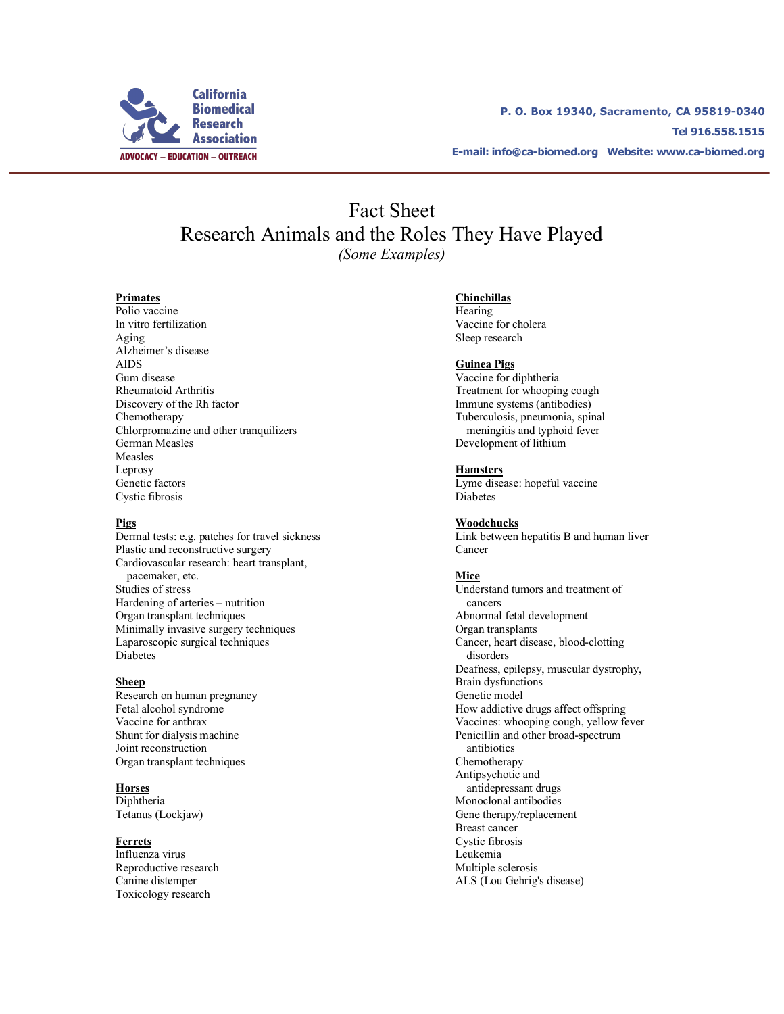

**P. O. Box 19340, Sacramento, CA 95819-0340 Tel 916.558.1515 E-mail: info@ca-biomed.org Website: www.ca-biomed.org**

# Fact Sheet Research Animals and the Roles They Have Played *(Some Examples)*

### **Primates**

Polio vaccine In vitro fertilization Aging Alzheimer's disease AIDS Gum disease Rheumatoid Arthritis Discovery of the Rh factor Chemotherapy Chlorpromazine and other tranquilizers German Measles Measles Leprosy Genetic factors Cystic fibrosis

### **Pigs**

Dermal tests: e.g. patches for travel sickness Plastic and reconstructive surgery Cardiovascular research: heart transplant, pacemaker, etc. Studies of stress Hardening of arteries – nutrition Organ transplant techniques Minimally invasive surgery techniques Laparoscopic surgical techniques Diabetes

#### **Sheep**

Research on human pregnancy Fetal alcohol syndrome Vaccine for anthrax Shunt for dialysis machine Joint reconstruction Organ transplant techniques

**Horses**

**Diphtheria** Tetanus (Lockjaw)

### **Ferrets**

Influenza virus Reproductive research Canine distemper Toxicology research

### **Chinchillas**

Hearing Vaccine for cholera Sleep research

### **Guinea Pigs**

Vaccine for diphtheria Treatment for whooping cough Immune systems (antibodies) Tuberculosis, pneumonia, spinal meningitis and typhoid fever Development of lithium

### **Hamsters**

Lyme disease: hopeful vaccine Diabetes

#### **Woodchucks**

Link between hepatitis B and human liver Cancer

### **Mice**

Understand tumors and treatment of cancers Abnormal fetal development Organ transplants Cancer, heart disease, blood-clotting disorders Deafness, epilepsy, muscular dystrophy, Brain dysfunctions Genetic model How addictive drugs affect offspring Vaccines: whooping cough, yellow fever Penicillin and other broad-spectrum antibiotics Chemotherapy Antipsychotic and antidepressant drugs Monoclonal antibodies Gene therapy/replacement Breast cancer Cystic fibrosis Leukemia Multiple sclerosis ALS (Lou Gehrig's disease)